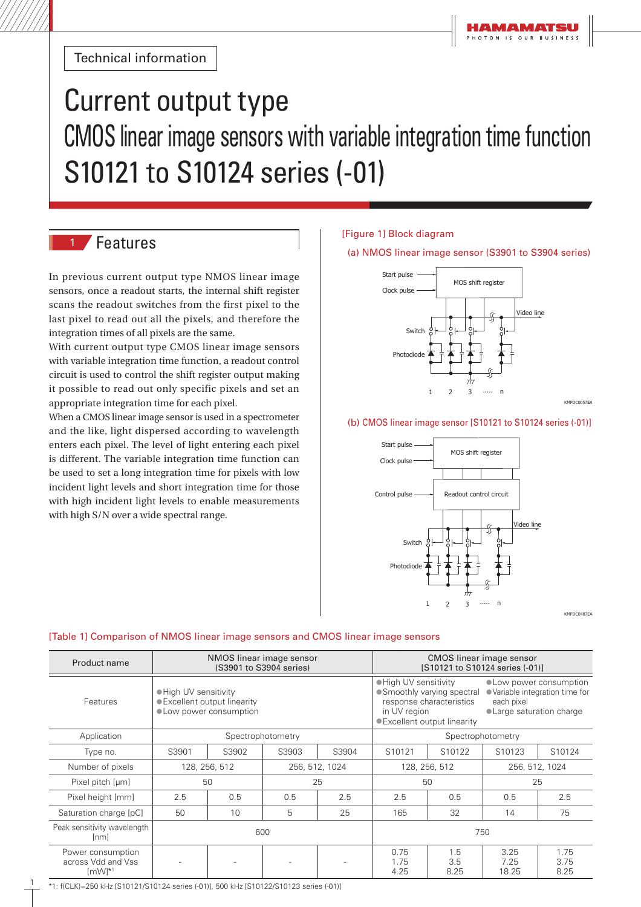Technical information

# Current output type CMOS linear image sensors with variable integration time function S10121 to S10124 series (-01)

# <sup>1</sup> Features

In previous current output type NMOS linear image sensors, once a readout starts, the internal shift register scans the readout switches from the first pixel to the last pixel to read out all the pixels, and therefore the integration times of all pixels are the same.

With current output type CMOS linear image sensors with variable integration time function, a readout control circuit is used to control the shift register output making it possible to read out only specific pixels and set an appropriate integration time for each pixel.

When a CMOS linear image sensor is used in a spectrometer and the like, light dispersed according to wavelength enters each pixel. The level of light entering each pixel is different. The variable integration time function can be used to set a long integration time for pixels with low incident light levels and short integration time for those with high incident light levels to enable measurements with high S/N over a wide spectral range.

# [Figure 1] Block diagram

#### (a) NMOS linear image sensor (S3901 to S3904 series)



#### (b) CMOS linear image sensor [S10121 to S10124 series (-01)]



**IPDC0487E** 

KMPDC0057EA

# [Table 1] Comparison of NMOS linear image sensors and CMOS linear image sensors

| Product name                                                  | NMOS linear image sensor<br>(S3901 to S3904 series)                              |       |                |                   | CMOS linear image sensor<br>[S10121 to S10124 series (-01)]                                                                                                                                                                               |                    |                       |                      |
|---------------------------------------------------------------|----------------------------------------------------------------------------------|-------|----------------|-------------------|-------------------------------------------------------------------------------------------------------------------------------------------------------------------------------------------------------------------------------------------|--------------------|-----------------------|----------------------|
| Features                                                      | ● High UV sensitivity<br>· Excellent output linearity<br>• Low power consumption |       |                |                   | ● High UV sensitivity<br>• Low power consumption<br>· Variable integration time for<br>• Smoothly varying spectral<br>response characteristics<br>each pixel<br>in UV region<br>• Large saturation charge<br>● Excellent output linearity |                    |                       |                      |
| Application                                                   | Spectrophotometry                                                                |       |                | Spectrophotometry |                                                                                                                                                                                                                                           |                    |                       |                      |
| Type no.                                                      | S3901                                                                            | S3902 | S3903          | S3904             | S10121                                                                                                                                                                                                                                    | S <sub>10122</sub> | S10123                | S10124               |
| Number of pixels                                              | 128, 256, 512                                                                    |       | 256, 512, 1024 |                   | 256, 512, 1024<br>128, 256, 512                                                                                                                                                                                                           |                    |                       |                      |
| Pixel pitch [µm]                                              | 50                                                                               |       | 25             |                   | 50                                                                                                                                                                                                                                        |                    | 25                    |                      |
| Pixel height [mm]                                             | 2.5                                                                              | 0.5   | 0.5            | 2.5               | 2.5                                                                                                                                                                                                                                       | 0.5                | 0.5                   | 2.5                  |
| Saturation charge [pC]                                        | 50                                                                               | 10    | 5              | 25                | 165                                                                                                                                                                                                                                       | 32                 | 14                    | 75                   |
| Peak sensitivity wavelength<br> nm                            | 600                                                                              |       |                |                   | 750                                                                                                                                                                                                                                       |                    |                       |                      |
| Power consumption<br>across Vdd and Vss<br>$\text{[mW]}^{*1}$ |                                                                                  |       |                |                   | 0.75<br>1.75<br>4.25                                                                                                                                                                                                                      | 1.5<br>3.5<br>8.25 | 3.25<br>7.25<br>18.25 | 1.75<br>3.75<br>8.25 |

1: f(CLK)=250 kHz [S10121/S10124 series (-01)], 500 kHz [S10122/S10123 series (-01)]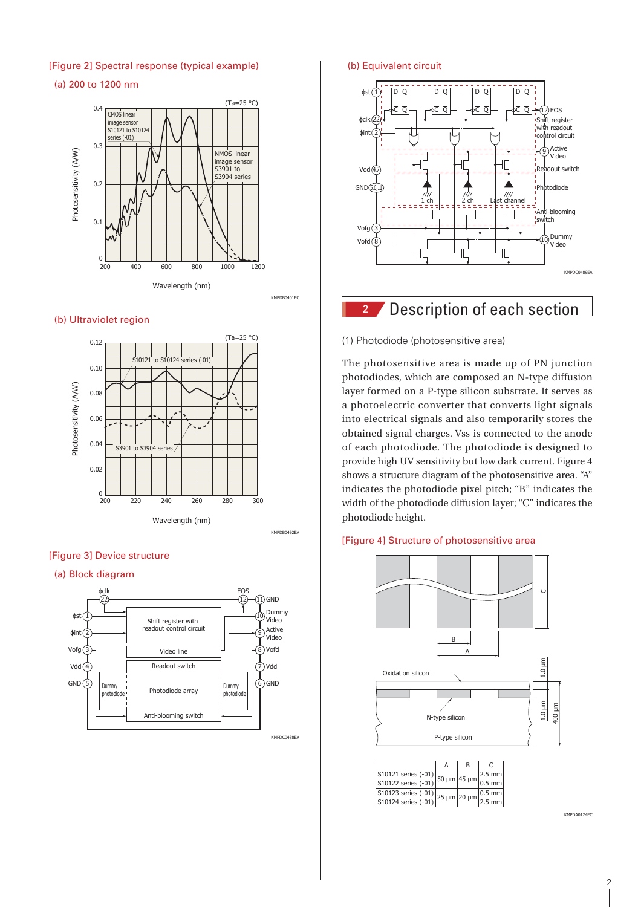# [Figure 2] Spectral response (typical example)

(a) 200 to 1200 nm



#### (b) Ultraviolet region



#### [Figure 3] Device structure

#### (a) Block diagram



# (b) Equivalent circuit



# **2** Description of each section

#### (1) Photodiode (photosensitive area)

The photosensitive area is made up of PN junction photodiodes, which are composed an N-type diffusion layer formed on a P-type silicon substrate. It serves as a photoelectric converter that converts light signals into electrical signals and also temporarily stores the obtained signal charges. Vss is connected to the anode of each photodiode. The photodiode is designed to provide high UV sensitivity but low dark current. Figure 4 shows a structure diagram of the photosensitive area. "A" indicates the photodiode pixel pitch; "B" indicates the width of the photodiode diffusion layer; "C" indicates the photodiode height.

#### [Figure 4] Structure of photosensitive area



|                                                                                              | в |                                                      |
|----------------------------------------------------------------------------------------------|---|------------------------------------------------------|
|                                                                                              |   |                                                      |
| $\frac{10121 \text{ series (-01)}}{101}$ 50 µm 45 µm $\frac{2.3 \text{ mm}}{0.5 \text{ mm}}$ |   |                                                      |
| S10123 series (-01)                                                                          |   | $0.5$ mm                                             |
| S10124 series (-01)                                                                          |   | $-25 \mu m$ 20 $\mu m$ $\frac{2.5 \mu m}{2.5 \mu m}$ |

KMPDA0124EC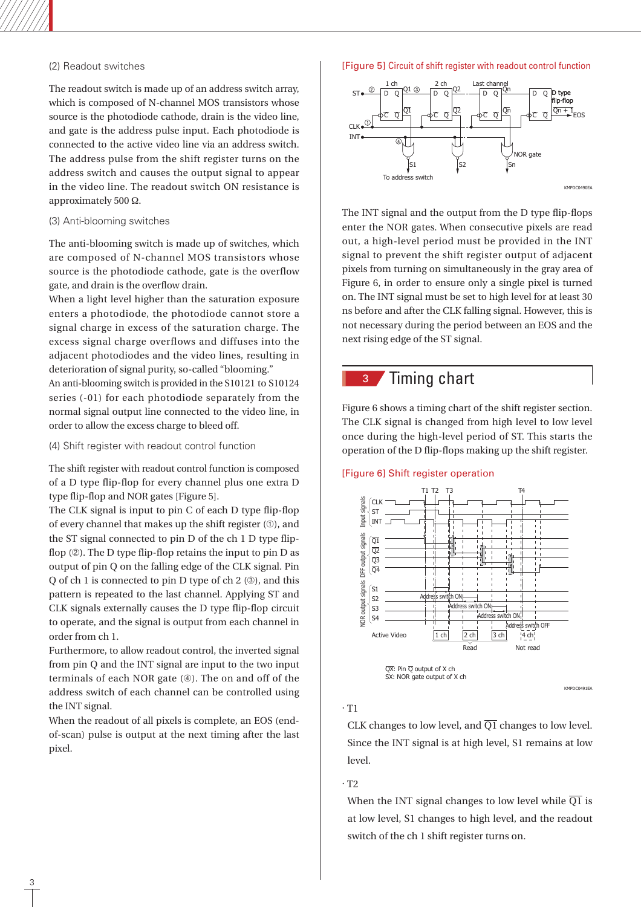# (2) Readout switches

The readout switch is made up of an address switch array, which is composed of N-channel MOS transistors whose source is the photodiode cathode, drain is the video line, and gate is the address pulse input. Each photodiode is connected to the active video line via an address switch. The address pulse from the shift register turns on the address switch and causes the output signal to appear in the video line. The readout switch ON resistance is approximately 500 Ω.

#### (3) Anti-blooming switches

The anti-blooming switch is made up of switches, which are composed of N-channel MOS transistors whose source is the photodiode cathode, gate is the overflow gate, and drain is the overflow drain.

When a light level higher than the saturation exposure enters a photodiode, the photodiode cannot store a signal charge in excess of the saturation charge. The excess signal charge overflows and diffuses into the adjacent photodiodes and the video lines, resulting in deterioration of signal purity, so-called "blooming." An anti-blooming switch is provided in the S10121 to S10124 series (-01) for each photodiode separately from the normal signal output line connected to the video line, in

(4) Shift register with readout control function

order to allow the excess charge to bleed off.

The shift register with readout control function is composed of a D type flip-flop for every channel plus one extra D type flip-flop and NOR gates [Figure 5].

The CLK signal is input to pin C of each D type flip-flop of every channel that makes up the shift register  $(0)$ , and the ST signal connected to pin D of the ch 1 D type flipflop  $(2)$ . The D type flip-flop retains the input to pin D as output of pin Q on the falling edge of the CLK signal. Pin O of ch 1 is connected to pin D type of ch 2  $(3)$ , and this pattern is repeated to the last channel. Applying ST and CLK signals externally causes the D type flip-flop circuit to operate, and the signal is output from each channel in order from ch 1.

Furthermore, to allow readout control, the inverted signal from pin Q and the INT signal are input to the two input terminals of each NOR gate  $(\circledast)$ . The on and off of the address switch of each channel can be controlled using the INT signal.

When the readout of all pixels is complete, an EOS (endof-scan) pulse is output at the next timing after the last pixel.

#### [Figure 5] Circuit of shift register with readout control function



The INT signal and the output from the D type flip-flops enter the NOR gates. When consecutive pixels are read out, a high-level period must be provided in the INT signal to prevent the shift register output of adjacent pixels from turning on simultaneously in the gray area of Figure 6, in order to ensure only a single pixel is turned on. The INT signal must be set to high level for at least 30 ns before and after the CLK falling signal. However, this is not necessary during the period between an EOS and the next rising edge of the ST signal.

# <sup>3</sup> Timing chart

Figure 6 shows a timing chart of the shift register section. The CLK signal is changed from high level to low level once during the high-level period of ST. This starts the operation of the D flip-flops making up the shift register.

#### [Figure 6] Shift register operation



SX: NOR gate output of X ch

### · T1

CLK changes to low level, and  $\overline{Q1}$  changes to low level. Since the INT signal is at high level, S1 remains at low level.

KMPDC0491EA

### · T2

When the INT signal changes to low level while  $\overline{Q1}$  is at low level, S1 changes to high level, and the readout switch of the ch 1 shift register turns on.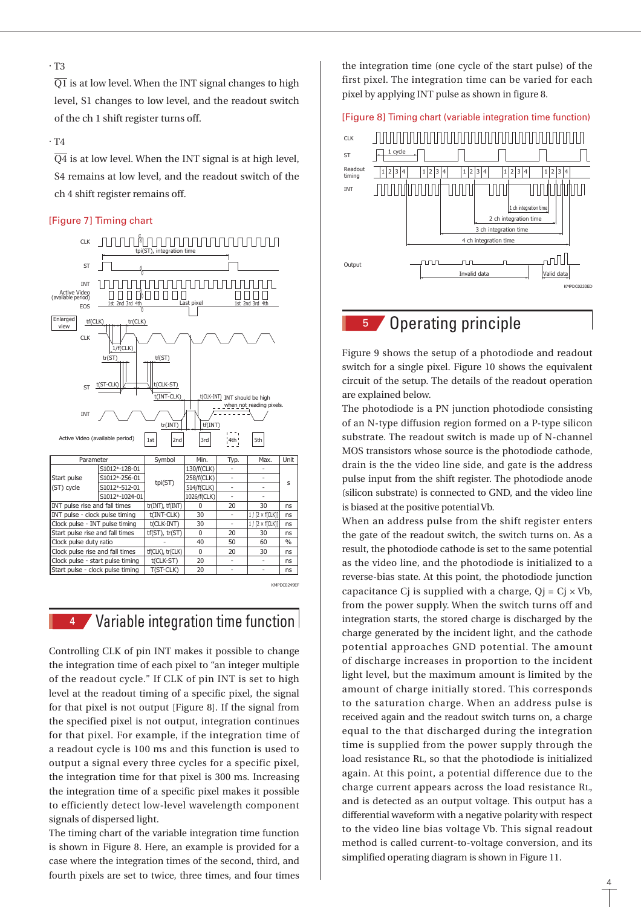# · T3

 $\overline{Q1}$  is at low level. When the INT signal changes to high level, S1 changes to low level, and the readout switch of the ch 1 shift register turns off.

#### · T4

 $\overline{Q4}$  is at low level. When the INT signal is at high level, S4 remains at low level, and the readout switch of the ch 4 shift register remains off.

#### [Figure 7] Timing chart



# 4 Variable integration time function

Controlling CLK of pin INT makes it possible to change the integration time of each pixel to "an integer multiple of the readout cycle." If CLK of pin INT is set to high level at the readout timing of a specific pixel, the signal for that pixel is not output [Figure 8]. If the signal from the specified pixel is not output, integration continues for that pixel. For example, if the integration time of a readout cycle is 100 ms and this function is used to output a signal every three cycles for a specific pixel, the integration time for that pixel is 300 ms. Increasing the integration time of a specific pixel makes it possible to efficiently detect low-level wavelength component signals of dispersed light.

The timing chart of the variable integration time function is shown in Figure 8. Here, an example is provided for a case where the integration times of the second, third, and fourth pixels are set to twice, three times, and four times the integration time (one cycle of the start pulse) of the first pixel. The integration time can be varied for each pixel by applying INT pulse as shown in figure 8.

### [Figure 8] Timing chart (variable integration time function)



# <sup>5</sup> Operating principle

Figure 9 shows the setup of a photodiode and readout switch for a single pixel. Figure 10 shows the equivalent circuit of the setup. The details of the readout operation are explained below.

The photodiode is a PN junction photodiode consisting of an N-type diffusion region formed on a P-type silicon substrate. The readout switch is made up of N-channel MOS transistors whose source is the photodiode cathode, drain is the the video line side, and gate is the address pulse input from the shift register. The photodiode anode (silicon substrate) is connected to GND, and the video line is biased at the positive potential Vb.

When an address pulse from the shift register enters the gate of the readout switch, the switch turns on. As a result, the photodiode cathode is set to the same potential as the video line, and the photodiode is initialized to a reverse-bias state. At this point, the photodiode junction capacitance Cj is supplied with a charge,  $Qj = Cj \times Vb$ , from the power supply. When the switch turns off and integration starts, the stored charge is discharged by the charge generated by the incident light, and the cathode potential approaches GND potential. The amount of discharge increases in proportion to the incident light level, but the maximum amount is limited by the amount of charge initially stored. This corresponds to the saturation charge. When an address pulse is received again and the readout switch turns on, a charge equal to the that discharged during the integration time is supplied from the power supply through the load resistance RL, so that the photodiode is initialized again. At this point, a potential difference due to the charge current appears across the load resistance RL, and is detected as an output voltage. This output has a differential waveform with a negative polarity with respect to the video line bias voltage Vb. This signal readout method is called current-to-voltage conversion, and its simplified operating diagram is shown in Figure 11.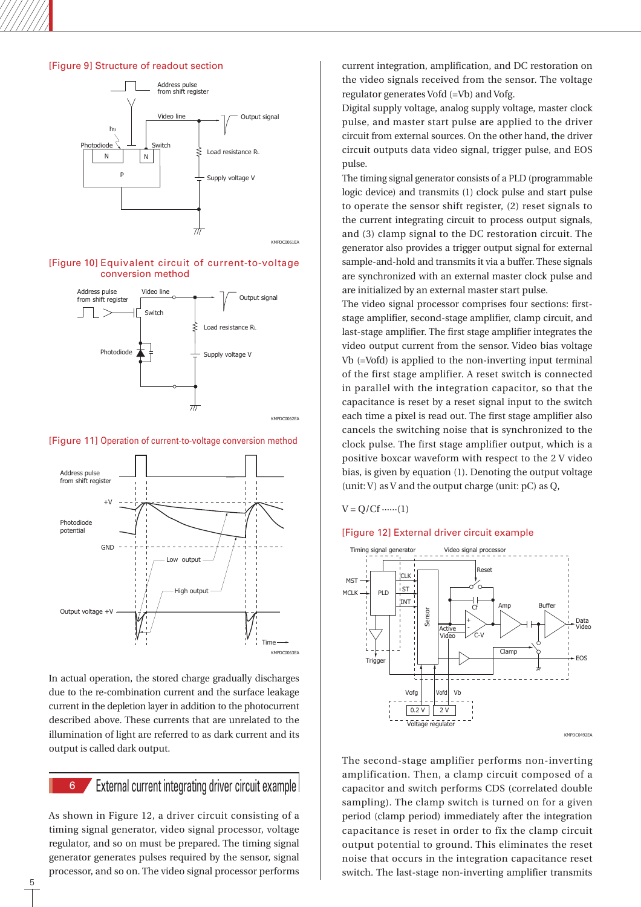## [Figure 9] Structure of readout section



#### [Figure 10] Equivalent circuit of current-to-voltage conversion method



#### [Figure 11] Operation of current-to-voltage conversion method



In actual operation, the stored charge gradually discharges due to the re-combination current and the surface leakage current in the depletion layer in addition to the photocurrent described above. These currents that are unrelated to the illumination of light are referred to as dark current and its output is called dark output.

# 6 External current integrating driver circuit example

As shown in Figure 12, a driver circuit consisting of a timing signal generator, video signal processor, voltage regulator, and so on must be prepared. The timing signal generator generates pulses required by the sensor, signal processor, and so on. The video signal processor performs

current integration, amplification, and DC restoration on the video signals received from the sensor. The voltage regulator generates Vofd (=Vb) and Vofg.

Digital supply voltage, analog supply voltage, master clock pulse, and master start pulse are applied to the driver circuit from external sources. On the other hand, the driver circuit outputs data video signal, trigger pulse, and EOS pulse.

The timing signal generator consists of a PLD (programmable logic device) and transmits (1) clock pulse and start pulse to operate the sensor shift register, (2) reset signals to the current integrating circuit to process output signals, and (3) clamp signal to the DC restoration circuit. The generator also provides a trigger output signal for external sample-and-hold and transmits it via a buffer. These signals are synchronized with an external master clock pulse and are initialized by an external master start pulse.

The video signal processor comprises four sections: firststage amplifier, second-stage amplifier, clamp circuit, and last-stage amplifier. The first stage amplifier integrates the video output current from the sensor. Video bias voltage Vb (=Vofd) is applied to the non-inverting input terminal of the first stage amplifier. A reset switch is connected in parallel with the integration capacitor, so that the capacitance is reset by a reset signal input to the switch each time a pixel is read out. The first stage amplifier also cancels the switching noise that is synchronized to the clock pulse. The first stage amplifier output, which is a positive boxcar waveform with respect to the 2 V video bias, is given by equation (1). Denoting the output voltage (unit: V) as V and the output charge (unit: pC) as Q,

#### $V = Q / Cf \cdots (1)$

### [Figure 12] External driver circuit example



The second-stage amplifier performs non-inverting amplification. Then, a clamp circuit composed of a capacitor and switch performs CDS (correlated double sampling). The clamp switch is turned on for a given period (clamp period) immediately after the integration capacitance is reset in order to fix the clamp circuit output potential to ground. This eliminates the reset noise that occurs in the integration capacitance reset switch. The last-stage non-inverting amplifier transmits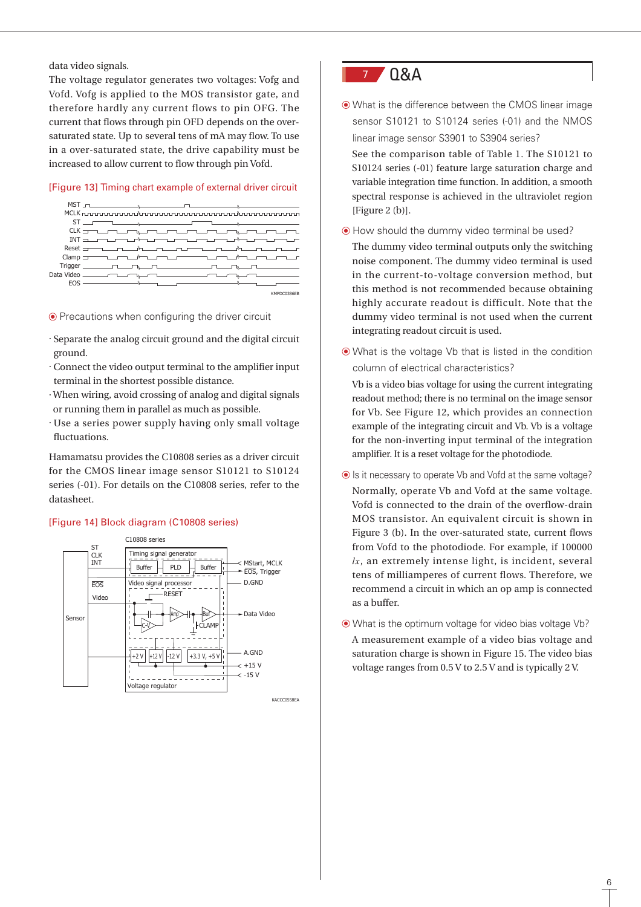data video signals.

The voltage regulator generates two voltages: Vofg and Vofd. Vofg is applied to the MOS transistor gate, and therefore hardly any current flows to pin OFG. The current that flows through pin OFD depends on the oversaturated state. Up to several tens of mA may flow. To use in a over-saturated state, the drive capability must be increased to allow current to flow through pin Vofd.

## [Figure 13] Timing chart example of external driver circuit



#### Precautions when configuring the driver circuit

- · Separate the analog circuit ground and the digital circuit ground.
- · Connect the video output terminal to the amplifier input terminal in the shortest possible distance.
- · When wiring, avoid crossing of analog and digital signals or running them in parallel as much as possible.
- · Use a series power supply having only small voltage fluctuations.

Hamamatsu provides the C10808 series as a driver circuit for the CMOS linear image sensor S10121 to S10124 series (-01). For details on the C10808 series, refer to the datasheet.

### [Figure 14] Block diagram (C10808 series)



**KACCCO558EA** 



 What is the difference between the CMOS linear image sensor S10121 to S10124 series (-01) and the NMOS linear image sensor S3901 to S3904 series?

See the comparison table of Table 1. The S10121 to S10124 series (-01) feature large saturation charge and variable integration time function. In addition, a smooth spectral response is achieved in the ultraviolet region [Figure 2 (b)].

How should the dummy video terminal be used?

The dummy video terminal outputs only the switching noise component. The dummy video terminal is used in the current-to-voltage conversion method, but this method is not recommended because obtaining highly accurate readout is difficult. Note that the dummy video terminal is not used when the current integrating readout circuit is used.

 What is the voltage Vb that is listed in the condition column of electrical characteristics?

Vb is a video bias voltage for using the current integrating readout method; there is no terminal on the image sensor for Vb. See Figure 12, which provides an connection example of the integrating circuit and Vb. Vb is a voltage for the non-inverting input terminal of the integration amplifier. It is a reset voltage for the photodiode.

- $\odot$  Is it necessary to operate Vb and Vofd at the same voltage? Normally, operate Vb and Vofd at the same voltage. Vofd is connected to the drain of the overflow-drain MOS transistor. An equivalent circuit is shown in Figure 3 (b). In the over-saturated state, current flows from Vofd to the photodiode. For example, if 100000 *lx*, an extremely intense light, is incident, several tens of milliamperes of current flows. Therefore, we recommend a circuit in which an op amp is connected as a buffer.
- What is the optimum voltage for video bias voltage Vb? A measurement example of a video bias voltage and saturation charge is shown in Figure 15. The video bias voltage ranges from 0.5 V to 2.5 V and is typically 2 V.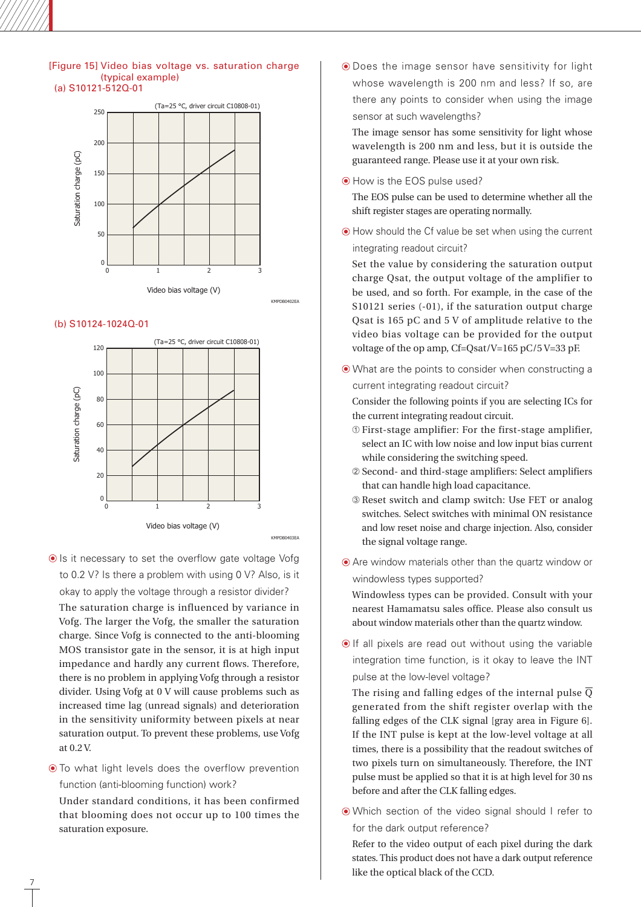#### [Figure 15] Video bias voltage vs. saturation charge (typical example) (a) S10121-512Q-01



KMPDB0402EA

#### (b) S10124-1024Q-01



 $\odot$  Is it necessary to set the overflow gate voltage Vofg to 0.2 V? Is there a problem with using 0 V? Also, is it okay to apply the voltage through a resistor divider?

The saturation charge is influenced by variance in Vofg. The larger the Vofg, the smaller the saturation charge. Since Vofg is connected to the anti-blooming MOS transistor gate in the sensor, it is at high input impedance and hardly any current flows. Therefore, there is no problem in applying Vofg through a resistor divider. Using Vofg at 0 V will cause problems such as increased time lag (unread signals) and deterioration in the sensitivity uniformity between pixels at near saturation output. To prevent these problems, use Vofg at 0.2 V.

 $\odot$  To what light levels does the overflow prevention function (anti-blooming function) work?

Under standard conditions, it has been confirmed that blooming does not occur up to 100 times the saturation exposure.

7

 Does the image sensor have sensitivity for light whose wavelength is 200 nm and less? If so, are there any points to consider when using the image sensor at such wavelengths?

The image sensor has some sensitivity for light whose wavelength is 200 nm and less, but it is outside the guaranteed range. Please use it at your own risk.

 $\odot$  How is the EOS pulse used?

The EOS pulse can be used to determine whether all the shift register stages are operating normally.

 How should the Cf value be set when using the current integrating readout circuit?

Set the value by considering the saturation output charge Qsat, the output voltage of the amplifier to be used, and so forth. For example, in the case of the S10121 series (-01), if the saturation output charge Qsat is 165 pC and 5 V of amplitude relative to the video bias voltage can be provided for the output voltage of the op amp, Cf=Qsat/V=165 pC/5 V=33 pF.

What are the points to consider when constructing a

current integrating readout circuit?

Consider the following points if you are selecting ICs for the current integrating readout circuit.

- First-stage amplifier: For the first-stage amplifier, select an IC with low noise and low input bias current while considering the switching speed.
- Second- and third-stage amplifiers: Select amplifiers that can handle high load capacitance.
- Reset switch and clamp switch: Use FET or analog switches. Select switches with minimal ON resistance and low reset noise and charge injection. Also, consider the signal voltage range.
- Are window materials other than the quartz window or windowless types supported?

Windowless types can be provided. Consult with your nearest Hamamatsu sales office. Please also consult us about window materials other than the quartz window.

 $\odot$  If all pixels are read out without using the variable integration time function, is it okay to leave the INT pulse at the low-level voltage?

The rising and falling edges of the internal pulse  $\overline{Q}$ generated from the shift register overlap with the falling edges of the CLK signal [gray area in Figure 6]. If the INT pulse is kept at the low-level voltage at all times, there is a possibility that the readout switches of two pixels turn on simultaneously. Therefore, the INT pulse must be applied so that it is at high level for 30 ns before and after the CLK falling edges.

 Which section of the video signal should I refer to for the dark output reference?

Refer to the video output of each pixel during the dark states. This product does not have a dark output reference like the optical black of the CCD.